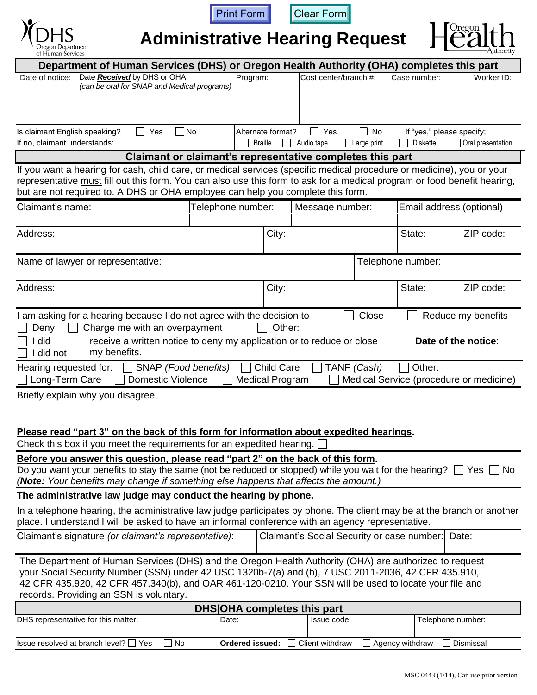





**Administrative Hearing Request**



| Department of Human Services (DHS) or Oregon Health Authority (OHA) completes this part                                                                                                                                                                                                                                                                            |       |                   |                       |           |                           |            |  |
|--------------------------------------------------------------------------------------------------------------------------------------------------------------------------------------------------------------------------------------------------------------------------------------------------------------------------------------------------------------------|-------|-------------------|-----------------------|-----------|---------------------------|------------|--|
| Date Received by DHS or OHA:<br>Date of notice:<br>(can be oral for SNAP and Medical programs)                                                                                                                                                                                                                                                                     |       | Program:          | Cost center/branch #: |           | Case number:              | Worker ID: |  |
|                                                                                                                                                                                                                                                                                                                                                                    |       |                   |                       |           |                           |            |  |
|                                                                                                                                                                                                                                                                                                                                                                    |       |                   |                       |           |                           |            |  |
| Is claimant English speaking?<br>Yes                                                                                                                                                                                                                                                                                                                               | No    | Alternate format? | $\Box$ Yes            | $\Box$ No | If "yes," please specify; |            |  |
| If no, claimant understands:<br><b>Diskette</b><br>Oral presentation<br><b>Braille</b><br>Audio tape<br>Large print<br>Claimant or claimant's representative completes this part                                                                                                                                                                                   |       |                   |                       |           |                           |            |  |
| If you want a hearing for cash, child care, or medical services (specific medical procedure or medicine), you or your                                                                                                                                                                                                                                              |       |                   |                       |           |                           |            |  |
| representative must fill out this form. You can also use this form to ask for a medical program or food benefit hearing,                                                                                                                                                                                                                                           |       |                   |                       |           |                           |            |  |
| but are not required to. A DHS or OHA employee can help you complete this form.<br>Claimant's name:<br>Email address (optional)<br>Telephone number:<br>Message number:                                                                                                                                                                                            |       |                   |                       |           |                           |            |  |
|                                                                                                                                                                                                                                                                                                                                                                    |       |                   |                       |           |                           |            |  |
| Address:                                                                                                                                                                                                                                                                                                                                                           |       |                   |                       |           | State:                    | ZIP code:  |  |
|                                                                                                                                                                                                                                                                                                                                                                    |       |                   |                       |           |                           |            |  |
| Name of lawyer or representative:                                                                                                                                                                                                                                                                                                                                  |       |                   |                       |           | Telephone number:         |            |  |
| Address:                                                                                                                                                                                                                                                                                                                                                           |       | City:             |                       |           | State:                    | ZIP code:  |  |
|                                                                                                                                                                                                                                                                                                                                                                    |       |                   |                       |           |                           |            |  |
| I am asking for a hearing because I do not agree with the decision to<br>Close<br>Reduce my benefits<br>Other:                                                                                                                                                                                                                                                     |       |                   |                       |           |                           |            |  |
| Charge me with an overpayment<br>Deny<br>did<br>receive a written notice to deny my application or to reduce or close<br>Date of the notice:                                                                                                                                                                                                                       |       |                   |                       |           |                           |            |  |
| my benefits.<br>did not                                                                                                                                                                                                                                                                                                                                            |       |                   |                       |           |                           |            |  |
| <b>Child Care</b><br>TANF (Cash)<br>Other:<br>Hearing requested for:<br>SNAP (Food benefits)                                                                                                                                                                                                                                                                       |       |                   |                       |           |                           |            |  |
| Long-Term Care<br><b>Domestic Violence</b><br><b>Medical Program</b><br>Medical Service (procedure or medicine)<br>Briefly explain why you disagree.                                                                                                                                                                                                               |       |                   |                       |           |                           |            |  |
|                                                                                                                                                                                                                                                                                                                                                                    |       |                   |                       |           |                           |            |  |
|                                                                                                                                                                                                                                                                                                                                                                    |       |                   |                       |           |                           |            |  |
| Please read "part 3" on the back of this form for information about expedited hearings.<br>Check this box if you meet the requirements for an expedited hearing.                                                                                                                                                                                                   |       |                   |                       |           |                           |            |  |
| Before you answer this question, please read "part 2" on the back of this form.                                                                                                                                                                                                                                                                                    |       |                   |                       |           |                           |            |  |
| Do you want your benefits to stay the same (not be reduced or stopped) while you wait for the hearing? $\Box$ Yes $\Box$ No<br>(Note: Your benefits may change if something else happens that affects the amount.)                                                                                                                                                 |       |                   |                       |           |                           |            |  |
| The administrative law judge may conduct the hearing by phone.                                                                                                                                                                                                                                                                                                     |       |                   |                       |           |                           |            |  |
| In a telephone hearing, the administrative law judge participates by phone. The client may be at the branch or another<br>place. I understand I will be asked to have an informal conference with an agency representative.                                                                                                                                        |       |                   |                       |           |                           |            |  |
| Claimant's signature (or claimant's representative):<br>Claimant's Social Security or case number:<br>Date:                                                                                                                                                                                                                                                        |       |                   |                       |           |                           |            |  |
| The Department of Human Services (DHS) and the Oregon Health Authority (OHA) are authorized to request<br>your Social Security Number (SSN) under 42 USC 1320b-7(a) and (b), 7 USC 2011-2036, 42 CFR 435.910,<br>42 CFR 435.920, 42 CFR 457.340(b), and OAR 461-120-0210. Your SSN will be used to locate your file and<br>records. Providing an SSN is voluntary. |       |                   |                       |           |                           |            |  |
| <b>DHS OHA completes this part</b>                                                                                                                                                                                                                                                                                                                                 |       |                   |                       |           |                           |            |  |
| DHS representative for this matter:                                                                                                                                                                                                                                                                                                                                | Date: |                   | Issue code:           |           | Telephone number:         |            |  |
| Issue resolved at branch level? $\Box$ Yes<br>$\exists$ No<br>Ordered issued:<br>Client withdraw<br>Agency withdraw<br>Dismissal                                                                                                                                                                                                                                   |       |                   |                       |           |                           |            |  |